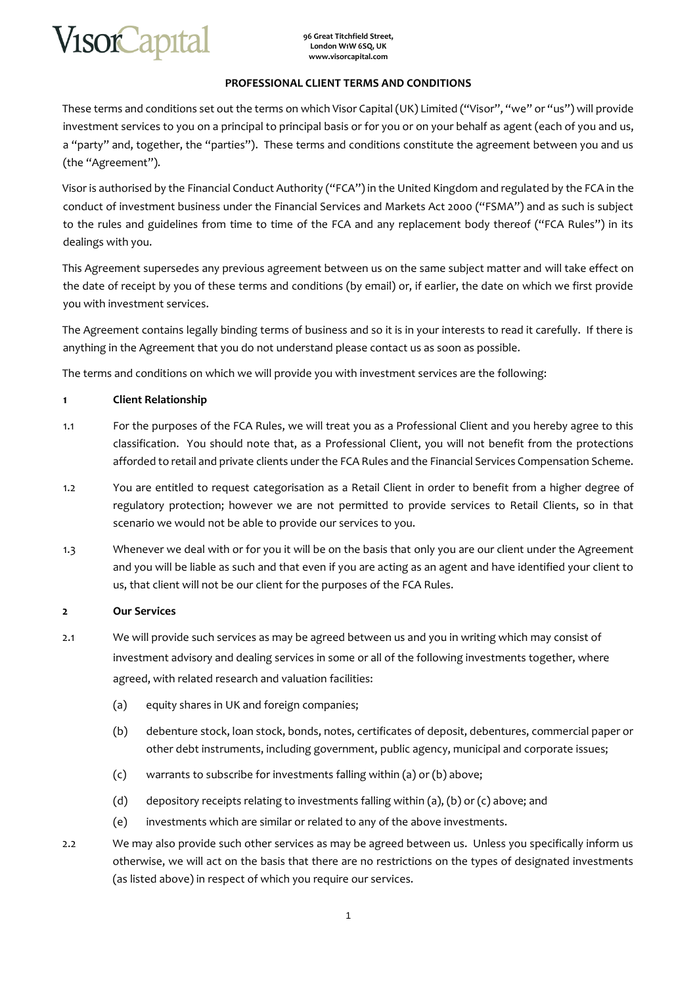

## **PROFESSIONAL CLIENT TERMS AND CONDITIONS**

These terms and conditions set out the terms on which Visor Capital (UK) Limited ("Visor", "we" or "us") will provide investment services to you on a principal to principal basis or for you or on your behalf as agent (each of you and us, a "party" and, together, the "parties"). These terms and conditions constitute the agreement between you and us (the "Agreement").

Visor is authorised by the Financial Conduct Authority ("FCA") in the United Kingdom and regulated by the FCA in the conduct of investment business under the Financial Services and Markets Act 2000 ("FSMA") and as such is subject to the rules and guidelines from time to time of the FCA and any replacement body thereof ("FCA Rules") in its dealings with you.

This Agreement supersedes any previous agreement between us on the same subject matter and will take effect on the date of receipt by you of these terms and conditions (by email) or, if earlier, the date on which we first provide you with investment services.

The Agreement contains legally binding terms of business and so it is in your interests to read it carefully. If there is anything in the Agreement that you do not understand please contact us as soon as possible.

The terms and conditions on which we will provide you with investment services are the following:

#### **1 Client Relationship**

- 1.1 For the purposes of the FCA Rules, we will treat you as a Professional Client and you hereby agree to this classification. You should note that, as a Professional Client, you will not benefit from the protections afforded to retail and private clients under the FCA Rules and the Financial Services Compensation Scheme.
- 1.2 You are entitled to request categorisation as a Retail Client in order to benefit from a higher degree of regulatory protection; however we are not permitted to provide services to Retail Clients, so in that scenario we would not be able to provide our services to you.
- 1.3 Whenever we deal with or for you it will be on the basis that only you are our client under the Agreement and you will be liable as such and that even if you are acting as an agent and have identified your client to us, that client will not be our client for the purposes of the FCA Rules.

#### **2 Our Services**

- 2.1 We will provide such services as may be agreed between us and you in writing which may consist of investment advisory and dealing services in some or all of the following investments together, where agreed, with related research and valuation facilities:
	- (a) equity shares in UK and foreign companies;
	- (b) debenture stock, loan stock, bonds, notes, certificates of deposit, debentures, commercial paper or other debt instruments, including government, public agency, municipal and corporate issues;
	- (c) warrants to subscribe for investments falling within (a) or (b) above;
	- (d) depository receipts relating to investments falling within (a), (b) or (c) above; and
	- (e) investments which are similar or related to any of the above investments.
- 2.2 We may also provide such other services as may be agreed between us. Unless you specifically inform us otherwise, we will act on the basis that there are no restrictions on the types of designated investments (as listed above) in respect of which you require our services.

1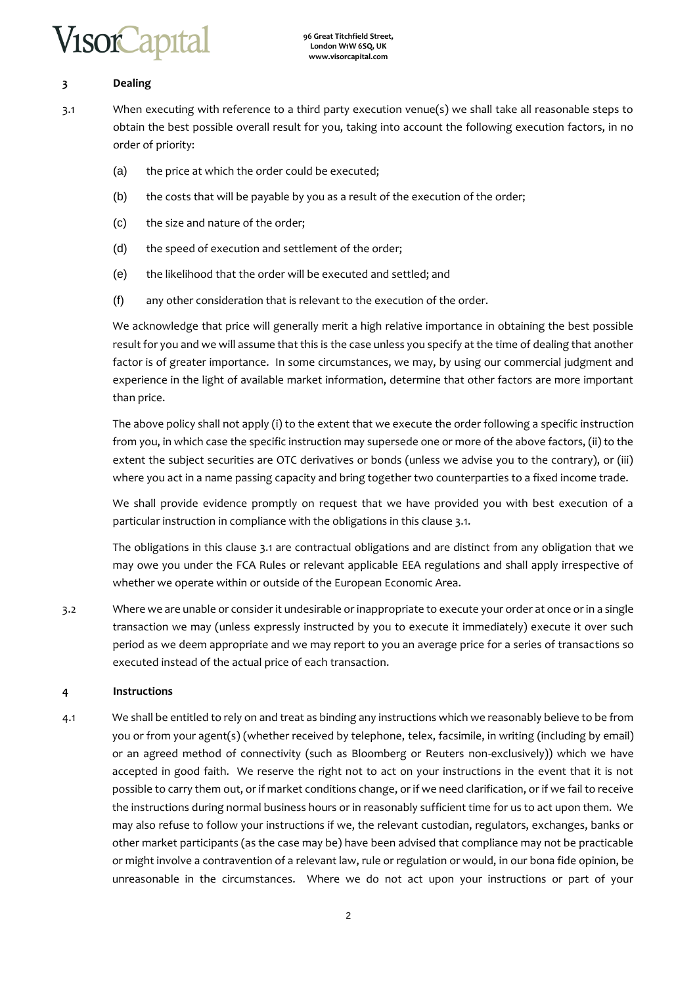# /isorCapita

## **3 Dealing**

- 3.1 When executing with reference to a third party execution venue(s) we shall take all reasonable steps to obtain the best possible overall result for you, taking into account the following execution factors, in no order of priority:
	- (a) the price at which the order could be executed;
	- (b) the costs that will be payable by you as a result of the execution of the order;
	- (c) the size and nature of the order;
	- (d) the speed of execution and settlement of the order;
	- (e) the likelihood that the order will be executed and settled; and
	- (f) any other consideration that is relevant to the execution of the order.

We acknowledge that price will generally merit a high relative importance in obtaining the best possible result for you and we will assume that this is the case unless you specify at the time of dealing that another factor is of greater importance. In some circumstances, we may, by using our commercial judgment and experience in the light of available market information, determine that other factors are more important than price.

The above policy shall not apply (i) to the extent that we execute the order following a specific instruction from you, in which case the specific instruction may supersede one or more of the above factors, (ii) to the extent the subject securities are OTC derivatives or bonds (unless we advise you to the contrary), or (iii) where you act in a name passing capacity and bring together two counterparties to a fixed income trade.

We shall provide evidence promptly on request that we have provided you with best execution of a particular instruction in compliance with the obligations in this clause 3.1.

The obligations in this clause 3.1 are contractual obligations and are distinct from any obligation that we may owe you under the FСA Rules or relevant applicable EEA regulations and shall apply irrespective of whether we operate within or outside of the European Economic Area.

3.2 Where we are unable or consider it undesirable or inappropriate to execute your order at once or in a single transaction we may (unless expressly instructed by you to execute it immediately) execute it over such period as we deem appropriate and we may report to you an average price for a series of transactions so executed instead of the actual price of each transaction.

## **4 Instructions**

4.1 We shall be entitled to rely on and treat as binding any instructions which we reasonably believe to be from you or from your agent(s) (whether received by telephone, telex, facsimile, in writing (including by email) or an agreed method of connectivity (such as Bloomberg or Reuters non-exclusively)) which we have accepted in good faith. We reserve the right not to act on your instructions in the event that it is not possible to carry them out, or if market conditions change, or if we need clarification, or if we fail to receive the instructions during normal business hours or in reasonably sufficient time for us to act upon them. We may also refuse to follow your instructions if we, the relevant custodian, regulators, exchanges, banks or other market participants (as the case may be) have been advised that compliance may not be practicable or might involve a contravention of a relevant law, rule or regulation or would, in our bona fide opinion, be unreasonable in the circumstances. Where we do not act upon your instructions or part of your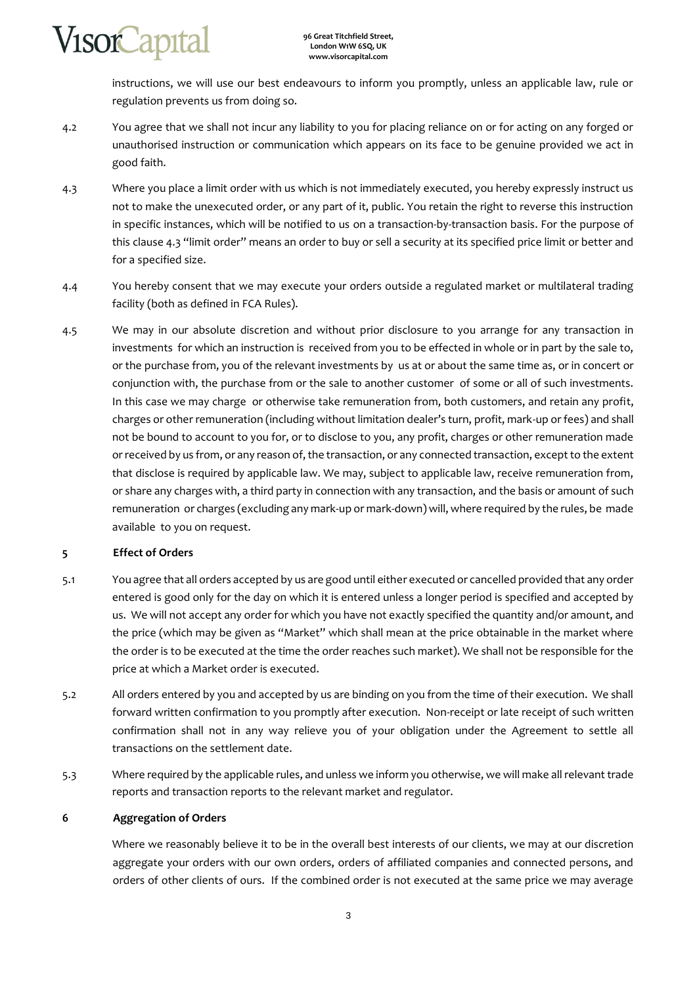instructions, we will use our best endeavours to inform you promptly, unless an applicable law, rule or regulation prevents us from doing so.

- 4.2 You agree that we shall not incur any liability to you for placing reliance on or for acting on any forged or unauthorised instruction or communication which appears on its face to be genuine provided we act in good faith.
- 4.3 Where you place a limit order with us which is not immediately executed, you hereby expressly instruct us not to make the unexecuted order, or any part of it, public. You retain the right to reverse this instruction in specific instances, which will be notified to us on a transaction-by-transaction basis. For the purpose of this clause 4.3 "limit order" means an order to buy or sell a security at its specified price limit or better and for a specified size.
- 4.4 You hereby consent that we may execute your orders outside a regulated market or multilateral trading facility (both as defined in FСA Rules).
- 4.5 We may in our absolute discretion and without prior disclosure to you arrange for any transaction in investments for which an instruction is received from you to be effected in whole or in part by the sale to, or the purchase from, you of the relevant investments by us at or about the same time as, or in concert or conjunction with, the purchase from or the sale to another customer of some or all of such investments. In this case we may charge or otherwise take remuneration from, both customers, and retain any profit, charges or other remuneration (including without limitation dealer's turn, profit, mark-up or fees) and shall not be bound to account to you for, or to disclose to you, any profit, charges or other remuneration made or received by us from, or any reason of, the transaction, or any connected transaction, except to the extent that disclose is required by applicable law. We may, subject to applicable law, receive remuneration from, or share any charges with, a third party in connection with any transaction, and the basis or amount of such remuneration or charges (excluding any mark-up or mark-down) will, where required by the rules, be made available to you on request.

## **5 Effect of Orders**

- 5.1 You agree that all orders accepted by us are good until either executed or cancelled provided that any order entered is good only for the day on which it is entered unless a longer period is specified and accepted by us. We will not accept any order for which you have not exactly specified the quantity and/or amount, and the price (which may be given as "Market" which shall mean at the price obtainable in the market where the order is to be executed at the time the order reaches such market). We shall not be responsible for the price at which a Market order is executed.
- 5.2 All orders entered by you and accepted by us are binding on you from the time of their execution. We shall forward written confirmation to you promptly after execution. Non-receipt or late receipt of such written confirmation shall not in any way relieve you of your obligation under the Agreement to settle all transactions on the settlement date.
- 5.3 Where required by the applicable rules, and unless we inform you otherwise, we will make all relevant trade reports and transaction reports to the relevant market and regulator.

## **6 Aggregation of Orders**

Where we reasonably believe it to be in the overall best interests of our clients, we may at our discretion aggregate your orders with our own orders, orders of affiliated companies and connected persons, and orders of other clients of ours. If the combined order is not executed at the same price we may average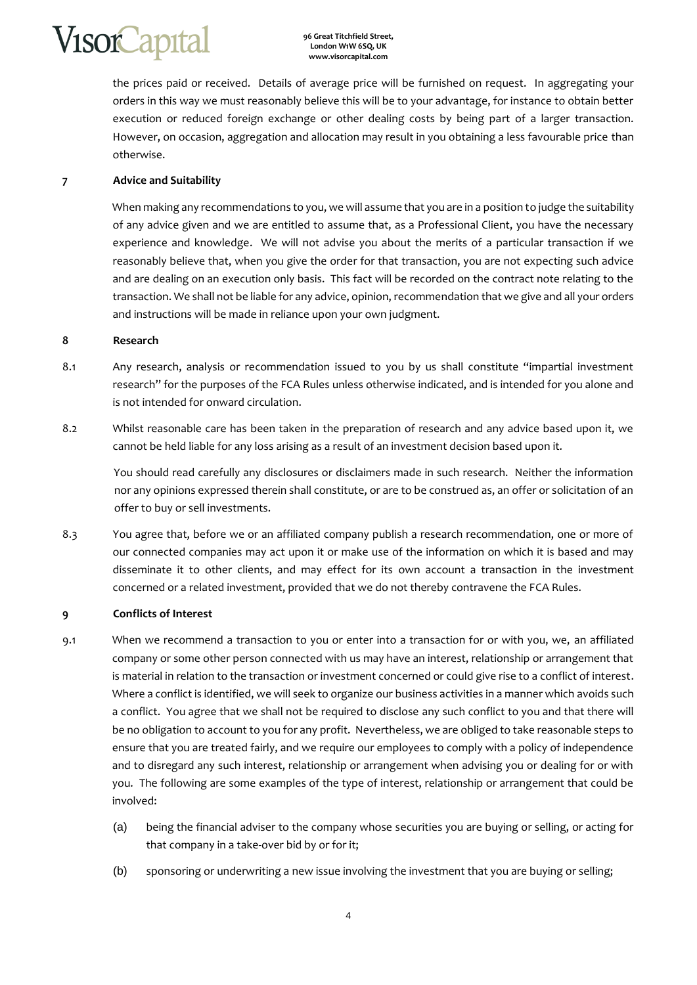the prices paid or received. Details of average price will be furnished on request. In aggregating your orders in this way we must reasonably believe this will be to your advantage, for instance to obtain better execution or reduced foreign exchange or other dealing costs by being part of a larger transaction. However, on occasion, aggregation and allocation may result in you obtaining a less favourable price than otherwise.

## **7 Advice and Suitability**

When making any recommendations to you, we will assume that you are in a position to judge the suitability of any advice given and we are entitled to assume that, as a Professional Client, you have the necessary experience and knowledge. We will not advise you about the merits of a particular transaction if we reasonably believe that, when you give the order for that transaction, you are not expecting such advice and are dealing on an execution only basis. This fact will be recorded on the contract note relating to the transaction. We shall not be liable for any advice, opinion, recommendation that we give and all your orders and instructions will be made in reliance upon your own judgment.

## **8 Research**

- 8.1 Any research, analysis or recommendation issued to you by us shall constitute "impartial investment research" for the purposes of the FСA Rules unless otherwise indicated, and is intended for you alone and is not intended for onward circulation.
- 8.2 Whilst reasonable care has been taken in the preparation of research and any advice based upon it, we cannot be held liable for any loss arising as a result of an investment decision based upon it.

You should read carefully any disclosures or disclaimers made in such research. Neither the information nor any opinions expressed therein shall constitute, or are to be construed as, an offer or solicitation of an offer to buy or sell investments.

8.3 You agree that, before we or an affiliated company publish a research recommendation, one or more of our connected companies may act upon it or make use of the information on which it is based and may disseminate it to other clients, and may effect for its own account a transaction in the investment concerned or a related investment, provided that we do not thereby contravene the FСA Rules.

## **9 Conflicts of Interest**

- 9.1 When we recommend a transaction to you or enter into a transaction for or with you, we, an affiliated company or some other person connected with us may have an interest, relationship or arrangement that is material in relation to the transaction or investment concerned or could give rise to a conflict of interest. Where a conflict is identified, we will seek to organize our business activities in a manner which avoids such a conflict. You agree that we shall not be required to disclose any such conflict to you and that there will be no obligation to account to you for any profit. Nevertheless, we are obliged to take reasonable steps to ensure that you are treated fairly, and we require our employees to comply with a policy of independence and to disregard any such interest, relationship or arrangement when advising you or dealing for or with you. The following are some examples of the type of interest, relationship or arrangement that could be involved:
	- (a) being the financial adviser to the company whose securities you are buying or selling, or acting for that company in a take-over bid by or for it;
	- (b) sponsoring or underwriting a new issue involving the investment that you are buying or selling;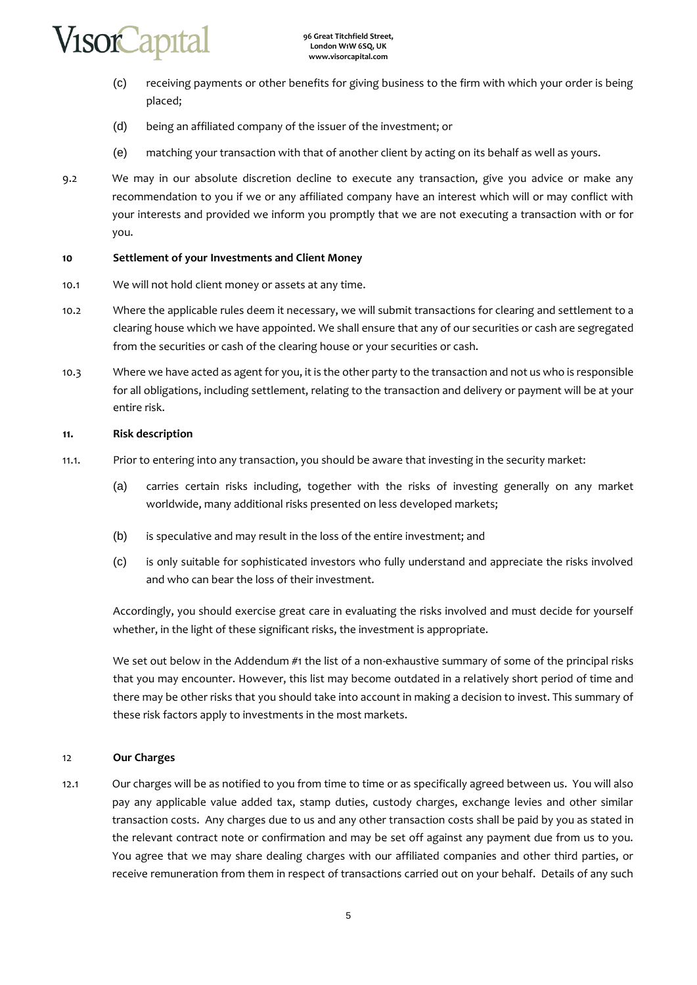- (c) receiving payments or other benefits for giving business to the firm with which your order is being placed;
- (d) being an affiliated company of the issuer of the investment; or
- (e) matching your transaction with that of another client by acting on its behalf as well as yours.
- 9.2 We may in our absolute discretion decline to execute any transaction, give you advice or make any recommendation to you if we or any affiliated company have an interest which will or may conflict with your interests and provided we inform you promptly that we are not executing a transaction with or for you.

## **10 Settlement of your Investments and Client Money**

- 10.1 We will not hold client money or assets at any time.
- 10.2 Where the applicable rules deem it necessary, we will submit transactions for clearing and settlement to a clearing house which we have appointed. We shall ensure that any of our securities or cash are segregated from the securities or cash of the clearing house or your securities or cash.
- 10.3 Where we have acted as agent for you, it is the other party to the transaction and not us who is responsible for all obligations, including settlement, relating to the transaction and delivery or payment will be at your entire risk.

## **11. Risk description**

- 11.1. Prior to entering into any transaction, you should be aware that investing in the security market:
	- (a) carries certain risks including, together with the risks of investing generally on any market worldwide, many additional risks presented on less developed markets;
	- (b) is speculative and may result in the loss of the entire investment; and
	- (c) is only suitable for sophisticated investors who fully understand and appreciate the risks involved and who can bear the loss of their investment.

Accordingly, you should exercise great care in evaluating the risks involved and must decide for yourself whether, in the light of these significant risks, the investment is appropriate.

We set out below in the Addendum #1 the list of a non-exhaustive summary of some of the principal risks that you may encounter. However, this list may become outdated in a relatively short period of time and there may be other risks that you should take into account in making a decision to invest. This summary of these risk factors apply to investments in the most markets.

## 12 **Our Charges**

12.1 Our charges will be as notified to you from time to time or as specifically agreed between us. You will also pay any applicable value added tax, stamp duties, custody charges, exchange levies and other similar transaction costs. Any charges due to us and any other transaction costs shall be paid by you as stated in the relevant contract note or confirmation and may be set off against any payment due from us to you. You agree that we may share dealing charges with our affiliated companies and other third parties, or receive remuneration from them in respect of transactions carried out on your behalf. Details of any such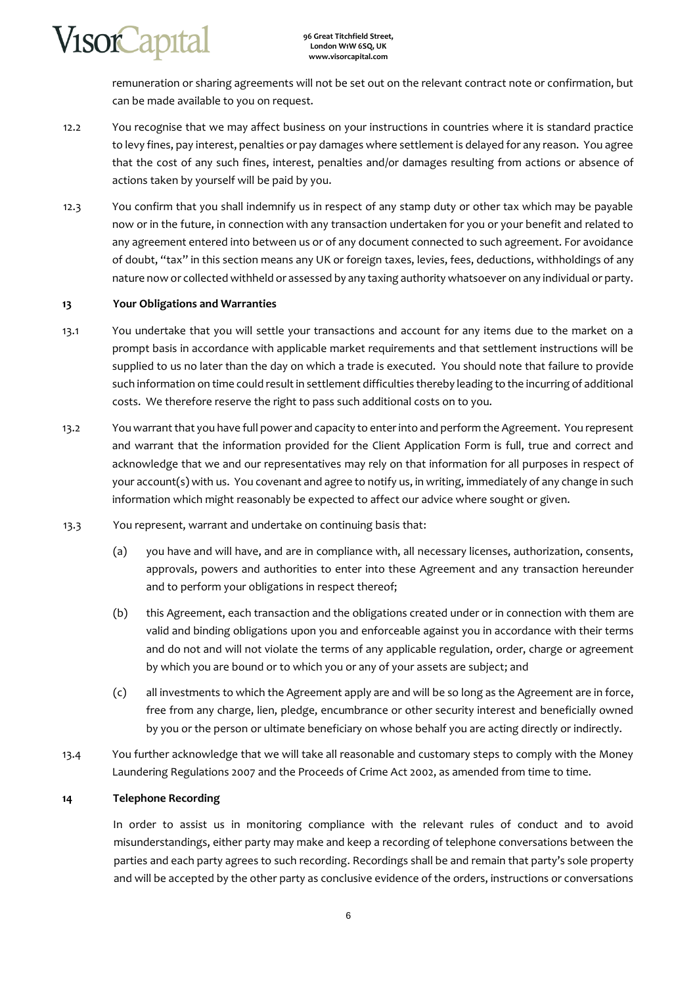remuneration or sharing agreements will not be set out on the relevant contract note or confirmation, but can be made available to you on request.

- 12.2 You recognise that we may affect business on your instructions in countries where it is standard practice to levy fines, pay interest, penalties or pay damages where settlement is delayed for any reason. You agree that the cost of any such fines, interest, penalties and/or damages resulting from actions or absence of actions taken by yourself will be paid by you.
- 12.3 You confirm that you shall indemnify us in respect of any stamp duty or other tax which may be payable now or in the future, in connection with any transaction undertaken for you or your benefit and related to any agreement entered into between us or of any document connected to such agreement. For avoidance of doubt, "tax" in this section means any UK or foreign taxes, levies, fees, deductions, withholdings of any nature now or collected withheld or assessed by any taxing authority whatsoever on any individual or party.

#### **13 Your Obligations and Warranties**

- 13.1 You undertake that you will settle your transactions and account for any items due to the market on a prompt basis in accordance with applicable market requirements and that settlement instructions will be supplied to us no later than the day on which a trade is executed. You should note that failure to provide such information on time could result in settlement difficulties thereby leading to the incurring of additional costs. We therefore reserve the right to pass such additional costs on to you.
- 13.2 You warrant that you have full power and capacity to enter into and perform the Agreement. You represent and warrant that the information provided for the Client Application Form is full, true and correct and acknowledge that we and our representatives may rely on that information for all purposes in respect of your account(s) with us. You covenant and agree to notify us, in writing, immediately of any change in such information which might reasonably be expected to affect our advice where sought or given.
- 13.3 You represent, warrant and undertake on continuing basis that:
	- (a) you have and will have, and are in compliance with, all necessary licenses, authorization, consents, approvals, powers and authorities to enter into these Agreement and any transaction hereunder and to perform your obligations in respect thereof;
	- (b) this Agreement, each transaction and the obligations created under or in connection with them are valid and binding obligations upon you and enforceable against you in accordance with their terms and do not and will not violate the terms of any applicable regulation, order, charge or agreement by which you are bound or to which you or any of your assets are subject; and
	- (c) all investments to which the Agreement apply are and will be so long as the Agreement are in force, free from any charge, lien, pledge, encumbrance or other security interest and beneficially owned by you or the person or ultimate beneficiary on whose behalf you are acting directly or indirectly.
- 13.4 You further acknowledge that we will take all reasonable and customary steps to comply with the Money Laundering Regulations 2007 and the Proceeds of Crime Act 2002, as amended from time to time.

#### **14 Telephone Recording**

In order to assist us in monitoring compliance with the relevant rules of conduct and to avoid misunderstandings, either party may make and keep a recording of telephone conversations between the parties and each party agrees to such recording. Recordings shall be and remain that party's sole property and will be accepted by the other party as conclusive evidence of the orders, instructions or conversations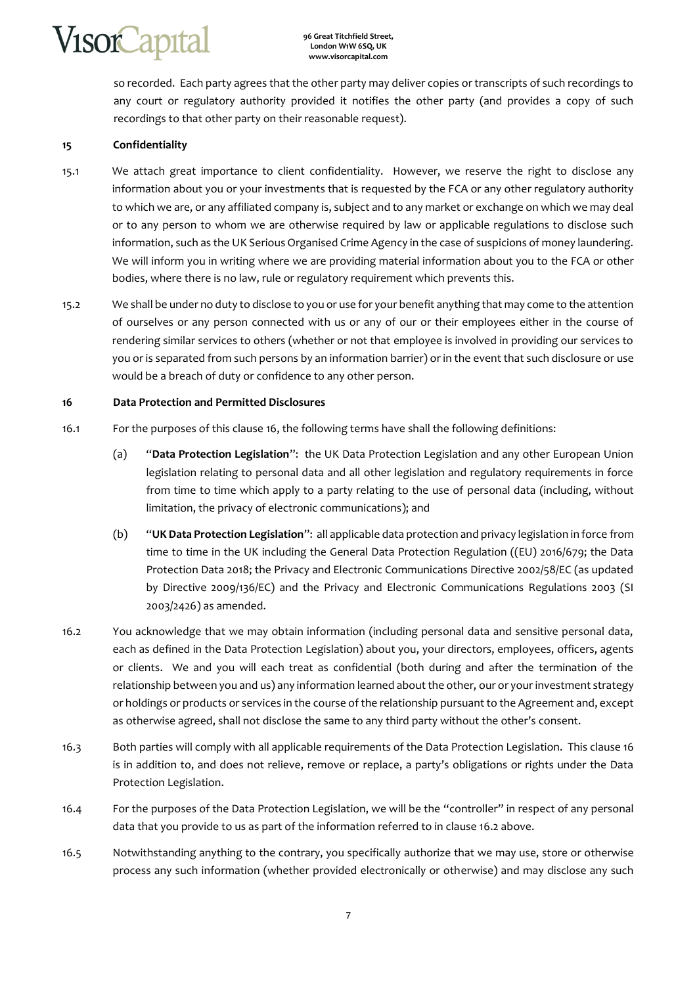so recorded. Each party agrees that the other party may deliver copies or transcripts of such recordings to any court or regulatory authority provided it notifies the other party (and provides a copy of such recordings to that other party on their reasonable request).

## **15 Confidentiality**

- 15.1 We attach great importance to client confidentiality. However, we reserve the right to disclose any information about you or your investments that is requested by the FСA or any other regulatory authority to which we are, or any affiliated company is, subject and to any market or exchange on which we may deal or to any person to whom we are otherwise required by law or applicable regulations to disclose such information, such as the UK Serious Organised Crime Agency in the case of suspicions of money laundering. We will inform you in writing where we are providing material information about you to the FСA or other bodies, where there is no law, rule or regulatory requirement which prevents this.
- 15.2 We shall be under no duty to disclose to you or use for your benefit anything that may come to the attention of ourselves or any person connected with us or any of our or their employees either in the course of rendering similar services to others (whether or not that employee is involved in providing our services to you or is separated from such persons by an information barrier) or in the event that such disclosure or use would be a breach of duty or confidence to any other person.

## **16 Data Protection and Permitted Disclosures**

- 16.1 For the purposes of this clause 16, the following terms have shall the following definitions:
	- (a) "**Data Protection Legislation**": the UK Data Protection Legislation and any other European Union legislation relating to personal data and all other legislation and regulatory requirements in force from time to time which apply to a party relating to the use of personal data (including, without limitation, the privacy of electronic communications); and
	- (b) "**UK Data Protection Legislation**": all applicable data protection and privacy legislation in force from time to time in the UK including the General Data Protection Regulation ((EU) 2016/679; the Data Protection Data 2018; the Privacy and Electronic Communications Directive 2002/58/EC (as updated by Directive 2009/136/EC) and the Privacy and Electronic Communications Regulations 2003 (SI 2003/2426) as amended.
- 16.2 You acknowledge that we may obtain information (including personal data and sensitive personal data, each as defined in the Data Protection Legislation) about you, your directors, employees, officers, agents or clients. We and you will each treat as confidential (both during and after the termination of the relationship between you and us) any information learned about the other, our or your investment strategy or holdings or products or services in the course of the relationship pursuant to the Agreement and, except as otherwise agreed, shall not disclose the same to any third party without the other's consent.
- 16.3 Both parties will comply with all applicable requirements of the Data Protection Legislation. This clause 16 is in addition to, and does not relieve, remove or replace, a party's obligations or rights under the Data Protection Legislation.
- 16.4 For the purposes of the Data Protection Legislation, we will be the "controller" in respect of any personal data that you provide to us as part of the information referred to in clause 16.2 above.
- 16.5 Notwithstanding anything to the contrary, you specifically authorize that we may use, store or otherwise process any such information (whether provided electronically or otherwise) and may disclose any such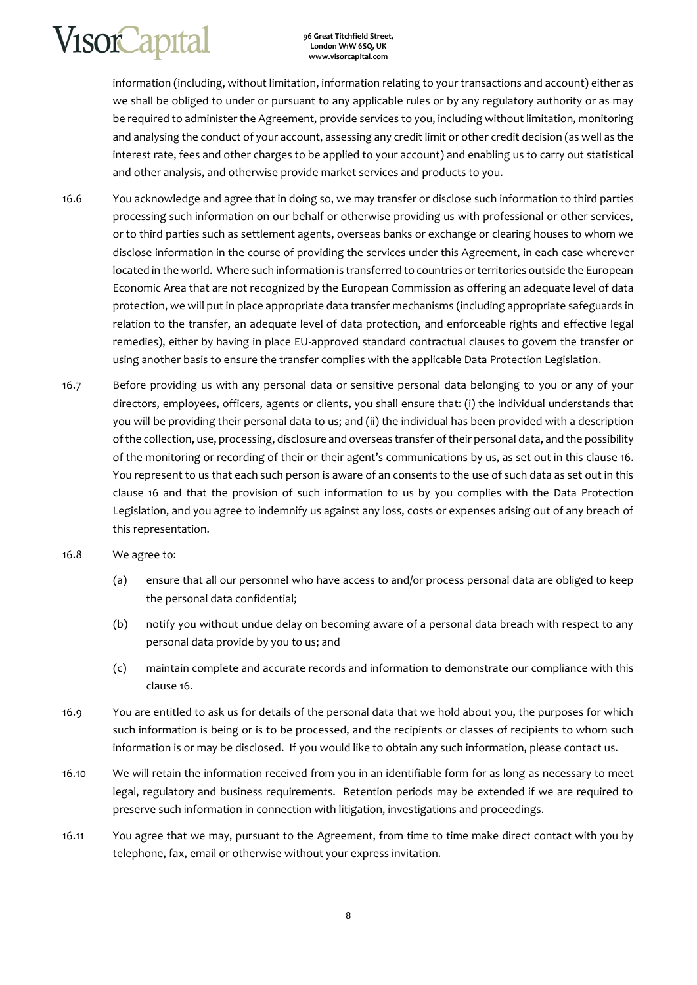**96 Great Titchfield Street, London W1W 6SQ, UK www.visorcapital.com**

information (including, without limitation, information relating to your transactions and account) either as we shall be obliged to under or pursuant to any applicable rules or by any regulatory authority or as may be required to administer the Agreement, provide services to you, including without limitation, monitoring and analysing the conduct of your account, assessing any credit limit or other credit decision (as well as the interest rate, fees and other charges to be applied to your account) and enabling us to carry out statistical and other analysis, and otherwise provide market services and products to you.

- 16.6 You acknowledge and agree that in doing so, we may transfer or disclose such information to third parties processing such information on our behalf or otherwise providing us with professional or other services, or to third parties such as settlement agents, overseas banks or exchange or clearing houses to whom we disclose information in the course of providing the services under this Agreement, in each case wherever located in the world. Where such information is transferred to countries or territories outside the European Economic Area that are not recognized by the European Commission as offering an adequate level of data protection, we will put in place appropriate data transfer mechanisms (including appropriate safeguards in relation to the transfer, an adequate level of data protection, and enforceable rights and effective legal remedies), either by having in place EU-approved standard contractual clauses to govern the transfer or using another basis to ensure the transfer complies with the applicable Data Protection Legislation.
- 16.7 Before providing us with any personal data or sensitive personal data belonging to you or any of your directors, employees, officers, agents or clients, you shall ensure that: (i) the individual understands that you will be providing their personal data to us; and (ii) the individual has been provided with a description of the collection, use, processing, disclosure and overseas transfer of their personal data, and the possibility of the monitoring or recording of their or their agent's communications by us, as set out in this clause 16. You represent to us that each such person is aware of an consents to the use of such data as set out in this clause 16 and that the provision of such information to us by you complies with the Data Protection Legislation, and you agree to indemnify us against any loss, costs or expenses arising out of any breach of this representation.
- 16.8 We agree to:
	- (a) ensure that all our personnel who have access to and/or process personal data are obliged to keep the personal data confidential;
	- (b) notify you without undue delay on becoming aware of a personal data breach with respect to any personal data provide by you to us; and
	- (c) maintain complete and accurate records and information to demonstrate our compliance with this clause 16.
- 16.9 You are entitled to ask us for details of the personal data that we hold about you, the purposes for which such information is being or is to be processed, and the recipients or classes of recipients to whom such information is or may be disclosed. If you would like to obtain any such information, please contact us.
- 16.10 We will retain the information received from you in an identifiable form for as long as necessary to meet legal, regulatory and business requirements. Retention periods may be extended if we are required to preserve such information in connection with litigation, investigations and proceedings.
- 16.11 You agree that we may, pursuant to the Agreement, from time to time make direct contact with you by telephone, fax, email or otherwise without your express invitation.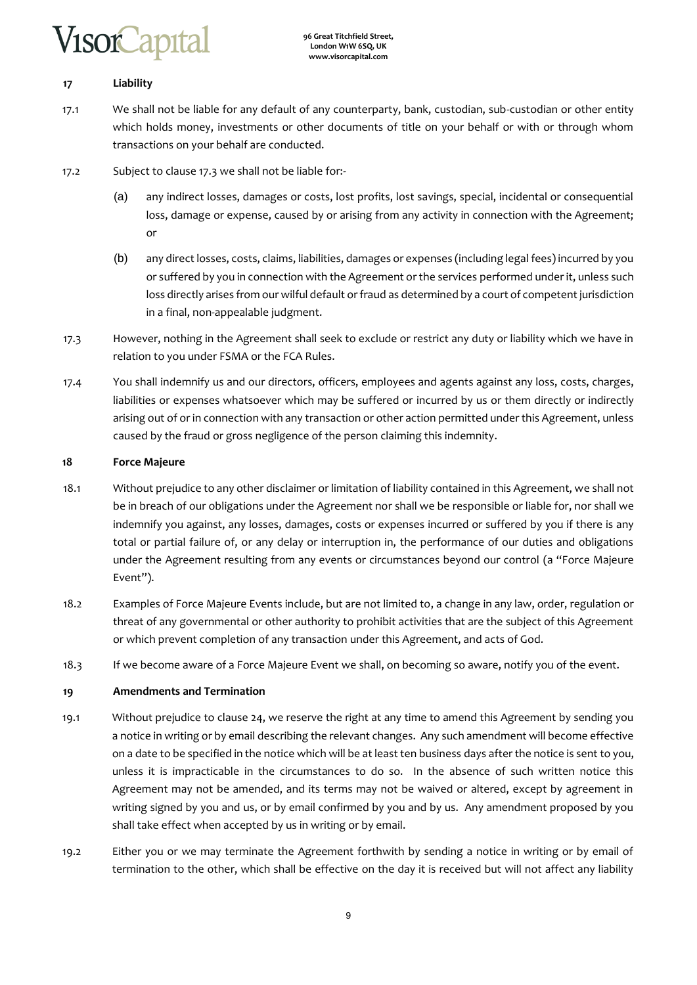# /isorCapita

## **17 Liability**

- 17.1 We shall not be liable for any default of any counterparty, bank, custodian, sub-custodian or other entity which holds money, investments or other documents of title on your behalf or with or through whom transactions on your behalf are conducted.
- 17.2 Subject to clause 17.3 we shall not be liable for:-
	- (a) any indirect losses, damages or costs, lost profits, lost savings, special, incidental or consequential loss, damage or expense, caused by or arising from any activity in connection with the Agreement; or
	- (b) any direct losses, costs, claims, liabilities, damages or expenses (including legal fees) incurred by you or suffered by you in connection with the Agreement or the services performed under it, unless such loss directly arises from our wilful default or fraud as determined by a court of competent jurisdiction in a final, non-appealable judgment.
- 17.3 However, nothing in the Agreement shall seek to exclude or restrict any duty or liability which we have in relation to you under FSMA or the FCA Rules.
- 17.4 You shall indemnify us and our directors, officers, employees and agents against any loss, costs, charges, liabilities or expenses whatsoever which may be suffered or incurred by us or them directly or indirectly arising out of or in connection with any transaction or other action permitted under this Agreement, unless caused by the fraud or gross negligence of the person claiming this indemnity.

## **18 Force Majeure**

- 18.1 Without prejudice to any other disclaimer or limitation of liability contained in this Agreement, we shall not be in breach of our obligations under the Agreement nor shall we be responsible or liable for, nor shall we indemnify you against, any losses, damages, costs or expenses incurred or suffered by you if there is any total or partial failure of, or any delay or interruption in, the performance of our duties and obligations under the Agreement resulting from any events or circumstances beyond our control (a "Force Majeure Event").
- 18.2 Examples of Force Majeure Events include, but are not limited to, a change in any law, order, regulation or threat of any governmental or other authority to prohibit activities that are the subject of this Agreement or which prevent completion of any transaction under this Agreement, and acts of God.
- 18.3 If we become aware of a Force Majeure Event we shall, on becoming so aware, notify you of the event.

## **19 Amendments and Termination**

- 19.1 Without prejudice to clause 24, we reserve the right at any time to amend this Agreement by sending you a notice in writing or by email describing the relevant changes. Any such amendment will become effective on a date to be specified in the notice which will be at least ten business days after the notice is sent to you, unless it is impracticable in the circumstances to do so. In the absence of such written notice this Agreement may not be amended, and its terms may not be waived or altered, except by agreement in writing signed by you and us, or by email confirmed by you and by us. Any amendment proposed by you shall take effect when accepted by us in writing or by email.
- 19.2 Either you or we may terminate the Agreement forthwith by sending a notice in writing or by email of termination to the other, which shall be effective on the day it is received but will not affect any liability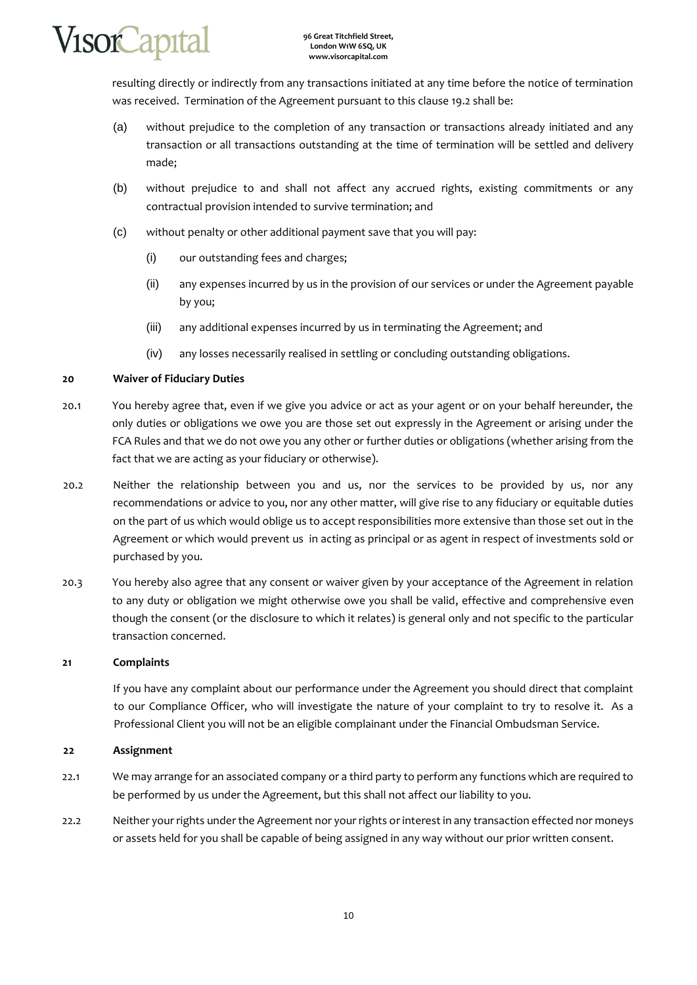

resulting directly or indirectly from any transactions initiated at any time before the notice of termination was received. Termination of the Agreement pursuant to this clause 19.2 shall be:

- (a) without prejudice to the completion of any transaction or transactions already initiated and any transaction or all transactions outstanding at the time of termination will be settled and delivery made;
- (b) without prejudice to and shall not affect any accrued rights, existing commitments or any contractual provision intended to survive termination; and
- (c) without penalty or other additional payment save that you will pay:
	- (i) our outstanding fees and charges;
	- (ii) any expenses incurred by us in the provision of our services or under the Agreement payable by you;
	- (iii) any additional expenses incurred by us in terminating the Agreement; and
	- (iv) any losses necessarily realised in settling or concluding outstanding obligations.

#### **20 Waiver of Fiduciary Duties**

- 20.1 You hereby agree that, even if we give you advice or act as your agent or on your behalf hereunder, the only duties or obligations we owe you are those set out expressly in the Agreement or arising under the FCA Rules and that we do not owe you any other or further duties or obligations (whether arising from the fact that we are acting as your fiduciary or otherwise).
- 20.2 Neither the relationship between you and us, nor the services to be provided by us, nor any recommendations or advice to you, nor any other matter, will give rise to any fiduciary or equitable duties on the part of us which would oblige us to accept responsibilities more extensive than those set out in the Agreement or which would prevent us in acting as principal or as agent in respect of investments sold or purchased by you.
- 20.3 You hereby also agree that any consent or waiver given by your acceptance of the Agreement in relation to any duty or obligation we might otherwise owe you shall be valid, effective and comprehensive even though the consent (or the disclosure to which it relates) is general only and not specific to the particular transaction concerned.

#### **21 Complaints**

If you have any complaint about our performance under the Agreement you should direct that complaint to our Compliance Officer, who will investigate the nature of your complaint to try to resolve it. As a Professional Client you will not be an eligible complainant under the Financial Ombudsman Service.

#### **22 Assignment**

- 22.1 We may arrange for an associated company or a third party to perform any functions which are required to be performed by us under the Agreement, but this shall not affect our liability to you.
- 22.2 Neither your rights under the Agreement nor your rights or interest in any transaction effected nor moneys or assets held for you shall be capable of being assigned in any way without our prior written consent.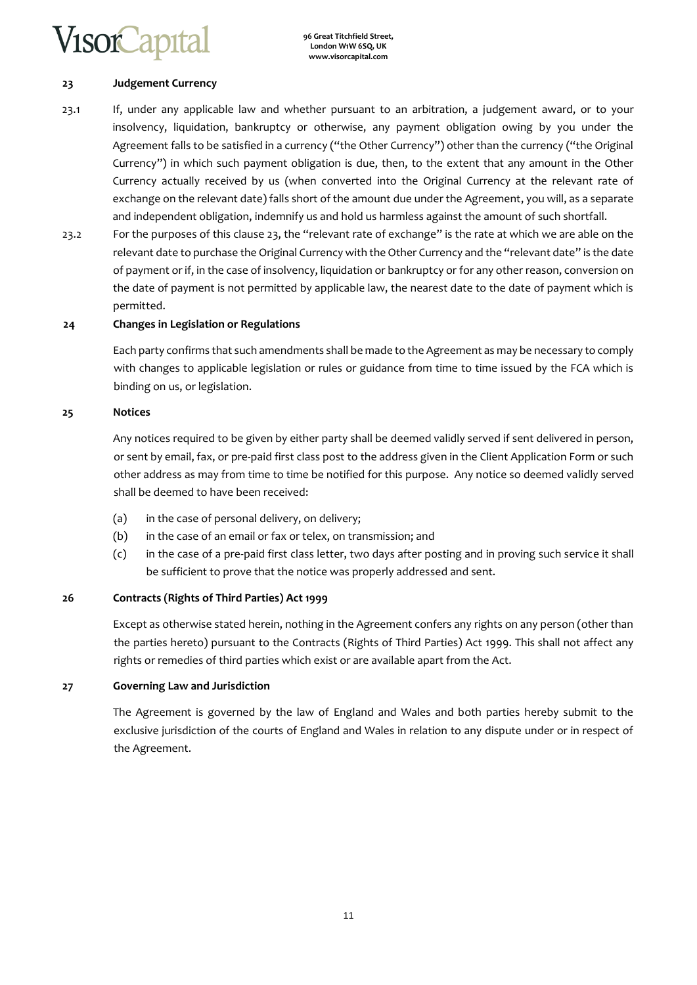## **23 Judgement Currency**

- 23.1 If, under any applicable law and whether pursuant to an arbitration, a judgement award, or to your insolvency, liquidation, bankruptcy or otherwise, any payment obligation owing by you under the Agreement falls to be satisfied in a currency ("the Other Currency") other than the currency ("the Original Currency") in which such payment obligation is due, then, to the extent that any amount in the Other Currency actually received by us (when converted into the Original Currency at the relevant rate of exchange on the relevant date) falls short of the amount due under the Agreement, you will, as a separate and independent obligation, indemnify us and hold us harmless against the amount of such shortfall.
- 23.2 For the purposes of this clause 23, the "relevant rate of exchange" is the rate at which we are able on the relevant date to purchase the Original Currency with the Other Currency and the "relevant date" is the date of payment or if, in the case of insolvency, liquidation or bankruptcy or for any other reason, conversion on the date of payment is not permitted by applicable law, the nearest date to the date of payment which is permitted.

## **24 Changes in Legislation or Regulations**

Each party confirms that such amendments shall be made to the Agreement as may be necessary to comply with changes to applicable legislation or rules or guidance from time to time issued by the FCA which is binding on us, or legislation.

#### **25 Notices**

Any notices required to be given by either party shall be deemed validly served if sent delivered in person, or sent by email, fax, or pre-paid first class post to the address given in the Client Application Form or such other address as may from time to time be notified for this purpose. Any notice so deemed validly served shall be deemed to have been received:

- (a) in the case of personal delivery, on delivery;
- (b) in the case of an email or fax or telex, on transmission; and
- (c) in the case of a pre-paid first class letter, two days after posting and in proving such service it shall be sufficient to prove that the notice was properly addressed and sent.

## **26 Contracts (Rights of Third Parties) Act 1999**

Except as otherwise stated herein, nothing in the Agreement confers any rights on any person (other than the parties hereto) pursuant to the Contracts (Rights of Third Parties) Act 1999. This shall not affect any rights or remedies of third parties which exist or are available apart from the Act.

## **27 Governing Law and Jurisdiction**

The Agreement is governed by the law of England and Wales and both parties hereby submit to the exclusive jurisdiction of the courts of England and Wales in relation to any dispute under or in respect of the Agreement.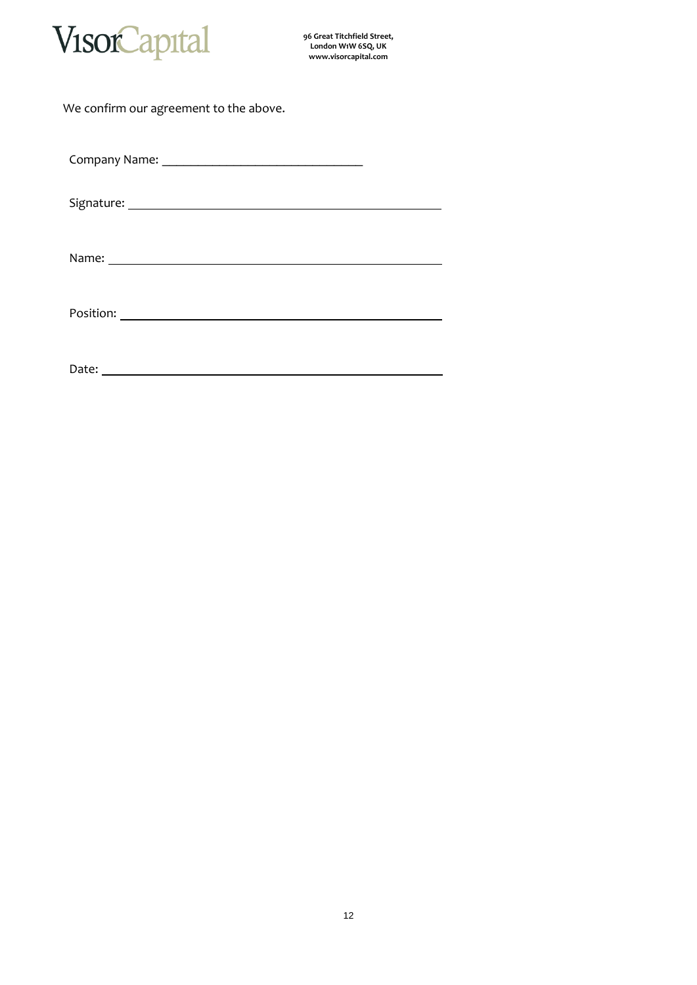

**96 Great Titchfield Street, London W1W 6SQ, UK www.visorcapital.com**

| We confirm our agreement to the above.                                                                                                                                                                                               |
|--------------------------------------------------------------------------------------------------------------------------------------------------------------------------------------------------------------------------------------|
|                                                                                                                                                                                                                                      |
|                                                                                                                                                                                                                                      |
|                                                                                                                                                                                                                                      |
|                                                                                                                                                                                                                                      |
| Date: <u>and the contract of the contract of the contract of the contract of the contract of the contract of the contract of the contract of the contract of the contract of the contract of the contract of the contract of the</u> |